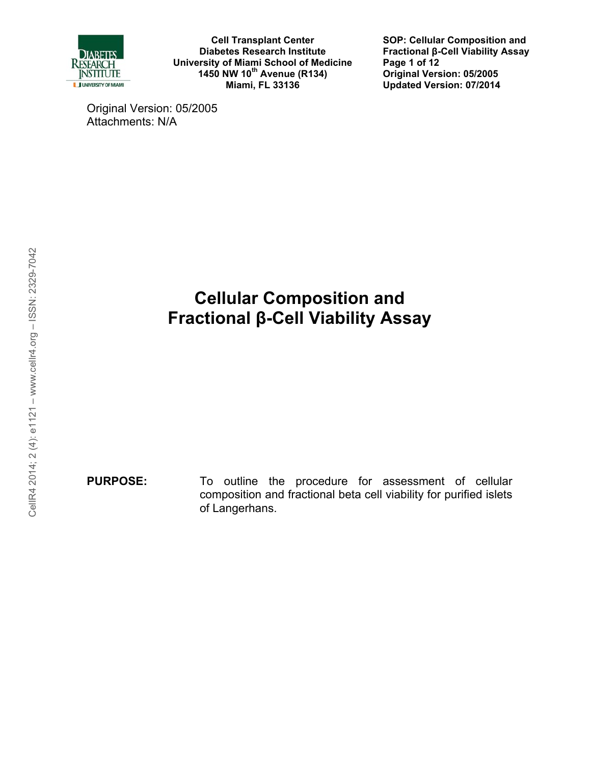

**SOP: Cellular Composition and Fractional β-Cell Viability Assay Page 1 of 12 Original Version: 05/2005 Updated Version: 07/2014**

Original Version: 05/2005 Attachments: N/A

# **Cellular Composition and Fractional β-Cell Viability Assay**

**PURPOSE:** To outline the procedure for assessment of cellular composition and fractional beta cell viability for purified islets of Langerhans.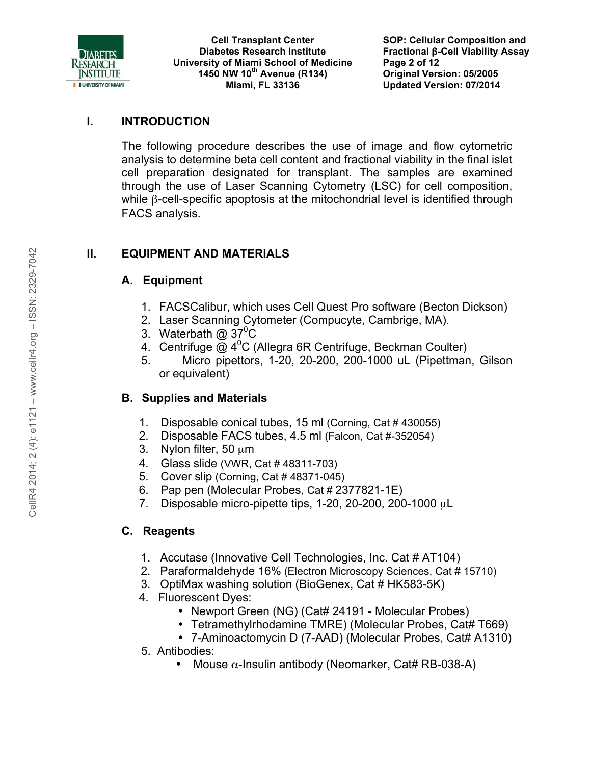

### **I. INTRODUCTION**

 The following procedure describes the use of image and flow cytometric analysis to determine beta cell content and fractional viability in the final islet cell preparation designated for transplant. The samples are examined through the use of Laser Scanning Cytometry (LSC) for cell composition, while β-cell-specific apoptosis at the mitochondrial level is identified through FACS analysis.

# **II. EQUIPMENT AND MATERIALS**

# **A. Equipment**

- 1. FACSCalibur, which uses Cell Quest Pro software (Becton Dickson)
- 2. Laser Scanning Cytometer (Compucyte, Cambrige, MA).
- 3. Waterbath  $@37^{\circ}C$
- 4. Centrifuge  $@$  4<sup>0</sup>C (Allegra 6R Centrifuge, Beckman Coulter)
- 5. Micro pipettors, 1-20, 20-200, 200-1000 uL (Pipettman, Gilson or equivalent)

# **B. Supplies and Materials**

- 1. Disposable conical tubes, 15 ml (Corning, Cat # 430055)
- 2. Disposable FACS tubes, 4.5 ml (Falcon, Cat #-352054)
- 3. Nylon filter, 50  $\mu$ m
- 4. Glass slide (VWR, Cat # 48311-703)
- 5. Cover slip (Corning, Cat # 48371-045)
- 6. Pap pen (Molecular Probes, Cat # 2377821-1E)
- 7. Disposable micro-pipette tips, 1-20, 20-200, 200-1000 µL

# **C. Reagents**

- 1. Accutase (Innovative Cell Technologies, Inc. Cat # AT104)
- 2. Paraformaldehyde 16% (Electron Microscopy Sciences, Cat # 15710)
- 3. OptiMax washing solution (BioGenex, Cat # HK583-5K)
- 4. Fluorescent Dyes:
	- Newport Green (NG) (Cat# 24191 Molecular Probes)
	- Tetramethylrhodamine TMRE) (Molecular Probes, Cat# T669)
	- 7-Aminoactomycin D (7-AAD) (Molecular Probes, Cat# A1310)
- 5. Antibodies:
	- Mouse  $\alpha$ -Insulin antibody (Neomarker, Cat# RB-038-A)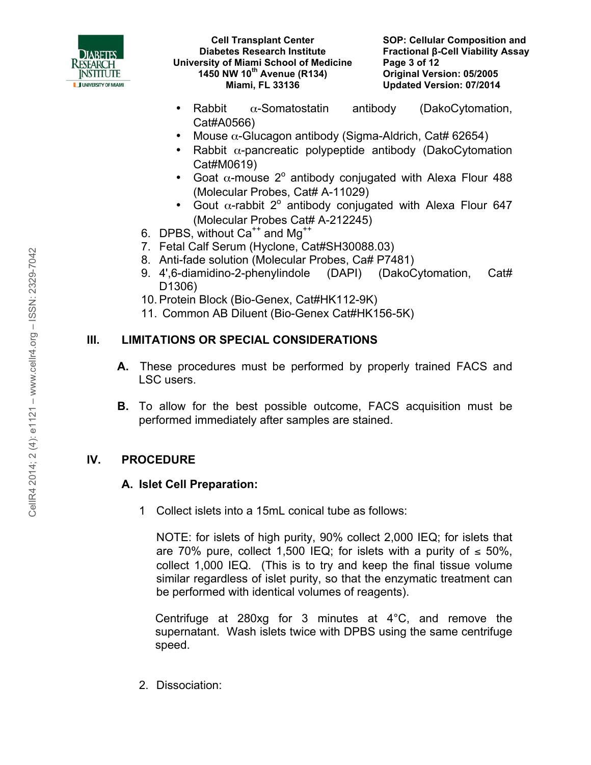

- Rabbit  $\alpha$ -Somatostatin antibody (DakoCytomation, Cat#A0566)
- Mouse  $\alpha$ -Glucagon antibody (Sigma-Aldrich, Cat# 62654)
- Rabbit  $\alpha$ -pancreatic polypeptide antibody (DakoCytomation Cat#M0619)
- Goat  $\alpha$ -mouse 2° antibody conjugated with Alexa Flour 488 (Molecular Probes, Cat# A-11029)
- Gout  $\alpha$ -rabbit 2<sup>°</sup> antibody conjugated with Alexa Flour 647 (Molecular Probes Cat# A-212245)
- 6. DPBS, without  $Ca^{++}$  and  $Mg^{++}$
- 7. Fetal Calf Serum (Hyclone, Cat#SH30088.03)
- 8. Anti-fade solution (Molecular Probes, Ca# P7481)
- 9. 4',6-diamidino-2-phenylindole (DAPI) (DakoCytomation, Cat# D1306)
- 10. Protein Block (Bio-Genex, Cat#HK112-9K)
- 11. Common AB Diluent (Bio-Genex Cat#HK156-5K)

# **III. LIMITATIONS OR SPECIAL CONSIDERATIONS**

- **A.** These procedures must be performed by properly trained FACS and LSC users.
- **B.** To allow for the best possible outcome, FACS acquisition must be performed immediately after samples are stained.

# **IV. PROCEDURE**

#### **A. Islet Cell Preparation:**

1 Collect islets into a 15mL conical tube as follows:

NOTE: for islets of high purity, 90% collect 2,000 IEQ; for islets that are 70% pure, collect 1,500 IEQ; for islets with a purity of  $\leq 50\%$ , collect 1,000 IEQ. (This is to try and keep the final tissue volume similar regardless of islet purity, so that the enzymatic treatment can be performed with identical volumes of reagents).

Centrifuge at 280xg for 3 minutes at 4°C, and remove the supernatant. Wash islets twice with DPBS using the same centrifuge speed.

2. Dissociation: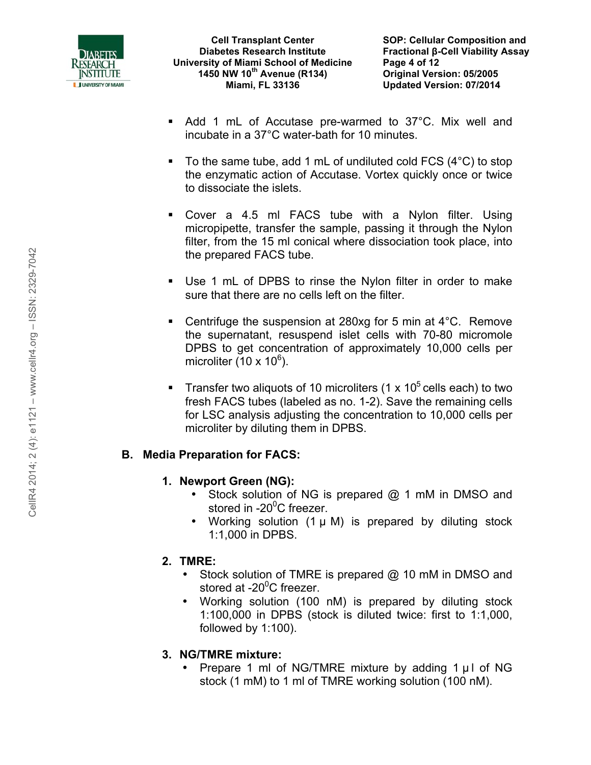

- Add 1 mL of Accutase pre-warmed to 37°C. Mix well and incubate in a 37°C water-bath for 10 minutes.
- $\blacksquare$  To the same tube, add 1 mL of undiluted cold FCS (4 $\rm ^{\circ}C$ ) to stop the enzymatic action of Accutase. Vortex quickly once or twice to dissociate the islets.
- Cover a 4.5 ml FACS tube with a Nylon filter. Using micropipette, transfer the sample, passing it through the Nylon filter, from the 15 ml conical where dissociation took place, into the prepared FACS tube.
- Use 1 mL of DPBS to rinse the Nylon filter in order to make sure that there are no cells left on the filter.
- Centrifuge the suspension at 280xg for 5 min at 4°C. Remove the supernatant, resuspend islet cells with 70-80 micromole DPBS to get concentration of approximately 10,000 cells per microliter (10 x 10 $^6$ ).
- Transfer two aliquots of 10 microliters (1 x  $10<sup>5</sup>$  cells each) to two fresh FACS tubes (labeled as no. 1-2). Save the remaining cells for LSC analysis adjusting the concentration to 10,000 cells per microliter by diluting them in DPBS.

# **B. Media Preparation for FACS:**

# **1. Newport Green (NG):**

- Stock solution of NG is prepared @ 1 mM in DMSO and stored in -20<sup>0</sup>C freezer.
- Working solution (1 µ M) is prepared by diluting stock 1:1,000 in DPBS.

#### **2. TMRE:**

- Stock solution of TMRE is prepared @ 10 mM in DMSO and stored at -20<sup>0</sup>C freezer.
- Working solution (100 nM) is prepared by diluting stock 1:100,000 in DPBS (stock is diluted twice: first to 1:1,000, followed by 1:100).

# **3. NG/TMRE mixture:**

• Prepare 1 ml of NG/TMRE mixture by adding  $1 \mu$  of NG stock (1 mM) to 1 ml of TMRE working solution (100 nM).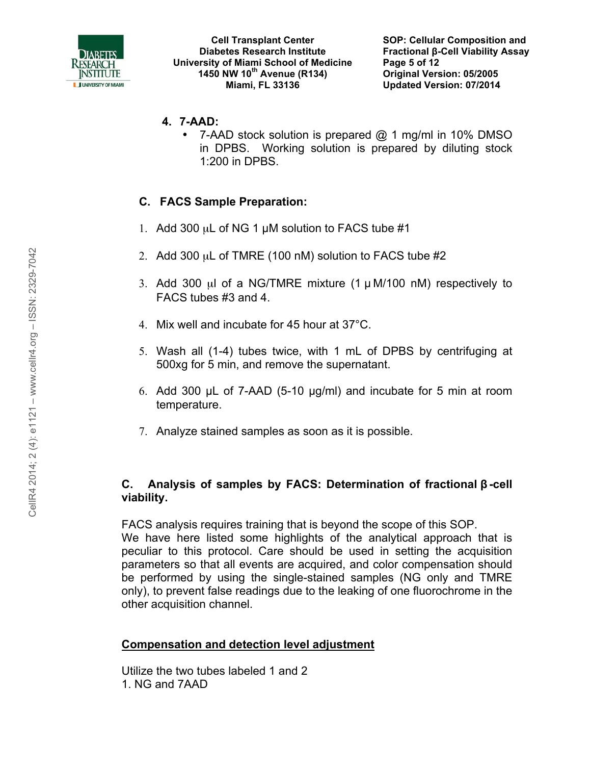

- **4. 7-AAD:** 
	- 7-AAD stock solution is prepared @ 1 mg/ml in 10% DMSO in DPBS. Working solution is prepared by diluting stock 1:200 in DPBS.

# **C. FACS Sample Preparation:**

- 1. Add 300  $\mu$ L of NG 1  $\mu$ M solution to FACS tube #1
- 2. Add 300 µL of TMRE (100 nM) solution to FACS tube #2
- 3. Add 300  $\mu$ I of a NG/TMRE mixture (1  $\mu$  M/100 nM) respectively to FACS tubes #3 and 4.
- 4. Mix well and incubate for 45 hour at 37°C.
- 5. Wash all (1-4) tubes twice, with 1 mL of DPBS by centrifuging at 500xg for 5 min, and remove the supernatant.
- 6. Add 300 µL of 7-AAD (5-10 µg/ml) and incubate for 5 min at room temperature.
- 7. Analyze stained samples as soon as it is possible.

#### **C. Analysis of samples by FACS: Determination of fractional β-cell viability.**

FACS analysis requires training that is beyond the scope of this SOP. We have here listed some highlights of the analytical approach that is peculiar to this protocol. Care should be used in setting the acquisition parameters so that all events are acquired, and color compensation should be performed by using the single-stained samples (NG only and TMRE only), to prevent false readings due to the leaking of one fluorochrome in the other acquisition channel.

#### **Compensation and detection level adjustment**

Utilize the two tubes labeled 1 and 2 1. NG and 7AAD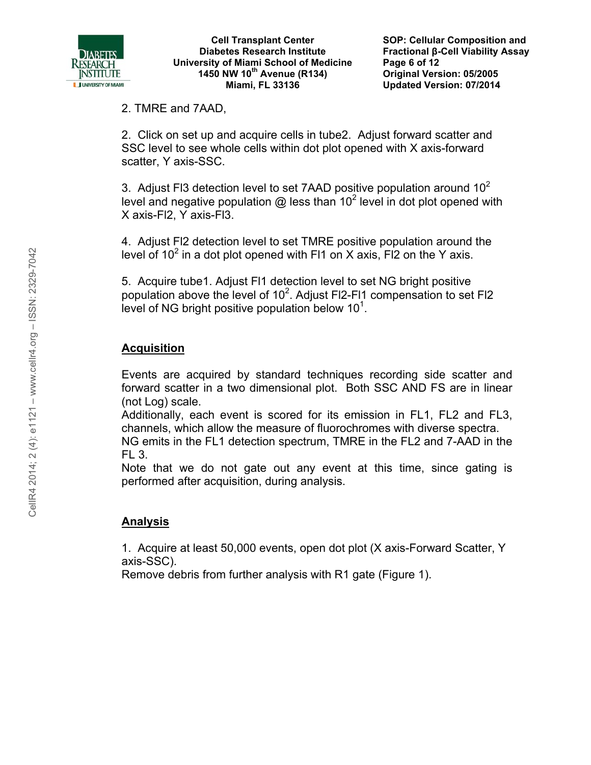

2. TMRE and 7AAD,

2. Click on set up and acquire cells in tube2. Adjust forward scatter and SSC level to see whole cells within dot plot opened with X axis-forward scatter, Y axis-SSC.

3. Adjust FI3 detection level to set 7AAD positive population around  $10<sup>2</sup>$ level and negative population @ less than 10<sup>2</sup> level in dot plot opened with X axis-Fl2, Y axis-Fl3.

4. Adjust Fl2 detection level to set TMRE positive population around the level of 10<sup>2</sup> in a dot plot opened with Fl1 on X axis, Fl2 on the Y axis.

5. Acquire tube1. Adjust Fl1 detection level to set NG bright positive population above the level of 10<sup>2</sup>. Adjust FI2-FI1 compensation to set FI2 level of NG bright positive population below  $10<sup>1</sup>$ .

# **Acquisition**

Events are acquired by standard techniques recording side scatter and forward scatter in a two dimensional plot. Both SSC AND FS are in linear (not Log) scale.

Additionally, each event is scored for its emission in FL1, FL2 and FL3, channels, which allow the measure of fluorochromes with diverse spectra. NG emits in the FL1 detection spectrum, TMRE in the FL2 and 7-AAD in the

FL 3.

Note that we do not gate out any event at this time, since gating is performed after acquisition, during analysis.

#### **Analysis**

1. Acquire at least 50,000 events, open dot plot (X axis-Forward Scatter, Y axis-SSC).

Remove debris from further analysis with R1 gate (Figure 1).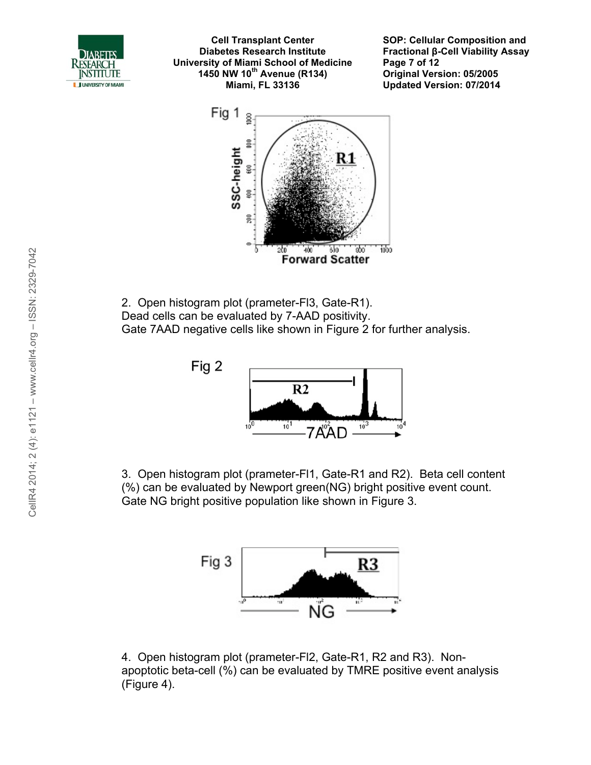

**SOP: Cellular Composition and Fractional β-Cell Viability Assay Page 7 of 12 Original Version: 05/2005 Updated Version: 07/2014**



2. Open histogram plot (prameter-Fl3, Gate-R1). Dead cells can be evaluated by 7-AAD positivity. Gate 7AAD negative cells like shown in Figure 2 for further analysis.





3. Open histogram plot (prameter-Fl1, Gate-R1 and R2). Beta cell content (%) can be evaluated by Newport green(NG) bright positive event count. Gate NG bright positive population like shown in Figure 3.



4. Open histogram plot (prameter-Fl2, Gate-R1, R2 and R3). Nonapoptotic beta-cell (%) can be evaluated by TMRE positive event analysis (Figure 4).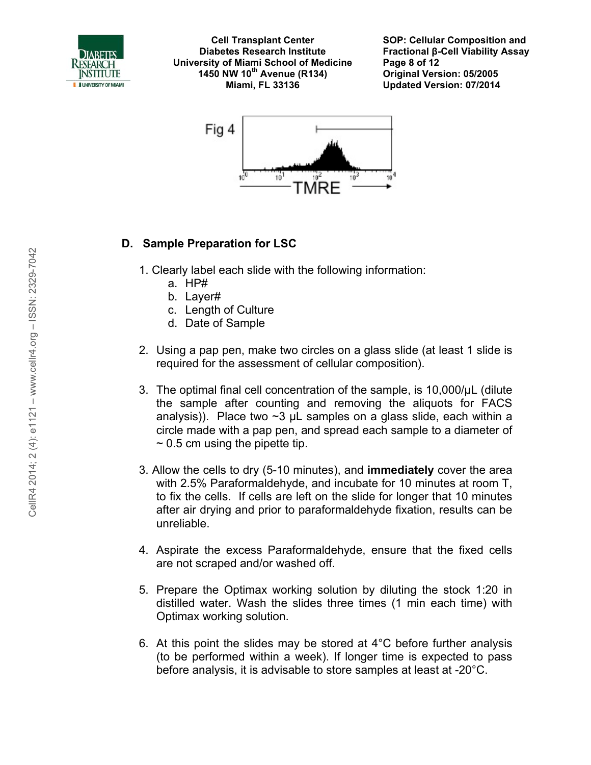

**SOP: Cellular Composition and Fractional β-Cell Viability Assay Page 8 of 12 Original Version: 05/2005 Updated Version: 07/2014**



#### **D. Sample Preparation for LSC**

- 1. Clearly label each slide with the following information:
	- a. HP#
	- b. Layer#
	- c. Length of Culture
	- d. Date of Sample
- 2. Using a pap pen, make two circles on a glass slide (at least 1 slide is required for the assessment of cellular composition).
- 3. The optimal final cell concentration of the sample, is 10,000/µL (dilute the sample after counting and removing the aliquots for FACS analysis)). Place two  $\sim$ 3 µL samples on a glass slide, each within a circle made with a pap pen, and spread each sample to a diameter of  $\sim$  0.5 cm using the pipette tip.
- 3. Allow the cells to dry (5-10 minutes), and **immediately** cover the area with 2.5% Paraformaldehyde, and incubate for 10 minutes at room T, to fix the cells. If cells are left on the slide for longer that 10 minutes after air drying and prior to paraformaldehyde fixation, results can be unreliable.
- 4. Aspirate the excess Paraformaldehyde, ensure that the fixed cells are not scraped and/or washed off.
- 5. Prepare the Optimax working solution by diluting the stock 1:20 in distilled water. Wash the slides three times (1 min each time) with Optimax working solution.
- 6. At this point the slides may be stored at 4°C before further analysis (to be performed within a week). If longer time is expected to pass before analysis, it is advisable to store samples at least at -20°C.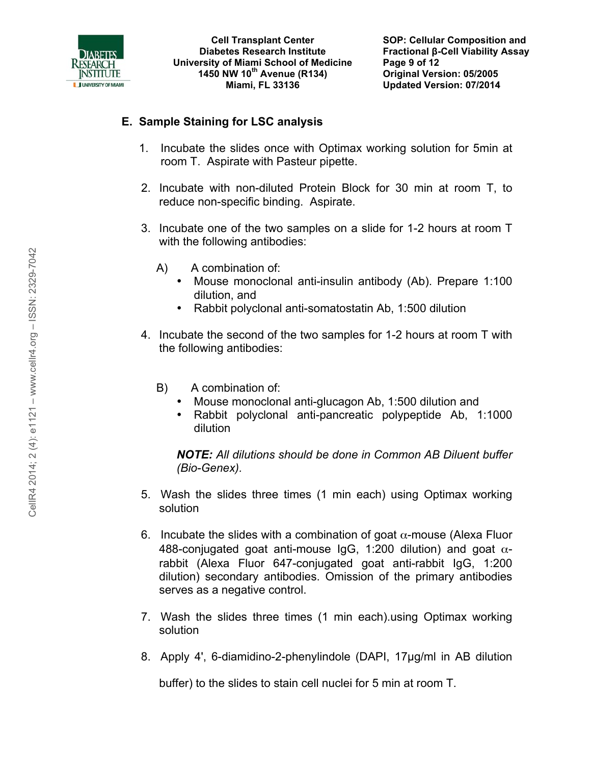

### **E. Sample Staining for LSC analysis**

- 1. Incubate the slides once with Optimax working solution for 5min at room T. Aspirate with Pasteur pipette.
- 2. Incubate with non-diluted Protein Block for 30 min at room T, to reduce non-specific binding. Aspirate.
- 3. Incubate one of the two samples on a slide for 1-2 hours at room T with the following antibodies:
	- A) A combination of:
		- Mouse monoclonal anti-insulin antibody (Ab). Prepare 1:100 dilution, and
		- Rabbit polyclonal anti-somatostatin Ab, 1:500 dilution
- 4. Incubate the second of the two samples for 1-2 hours at room T with the following antibodies:
	- B) A combination of:
		- Mouse monoclonal anti-glucagon Ab, 1:500 dilution and
		- Rabbit polyclonal anti-pancreatic polypeptide Ab, 1:1000 dilution

*NOTE: All dilutions should be done in Common AB Diluent buffer (Bio-Genex).* 

- 5. Wash the slides three times (1 min each) using Optimax working solution
- 6. Incubate the slides with a combination of goat  $\alpha$ -mouse (Alexa Fluor 488-conjugated goat anti-mouse IgG, 1:200 dilution) and goat  $\alpha$ rabbit (Alexa Fluor 647-conjugated goat anti-rabbit IgG, 1:200 dilution) secondary antibodies. Omission of the primary antibodies serves as a negative control.
- 7. Wash the slides three times (1 min each).using Optimax working solution
- 8. Apply 4', 6-diamidino-2-phenylindole (DAPI, 17µg/ml in AB dilution

buffer) to the slides to stain cell nuclei for 5 min at room T.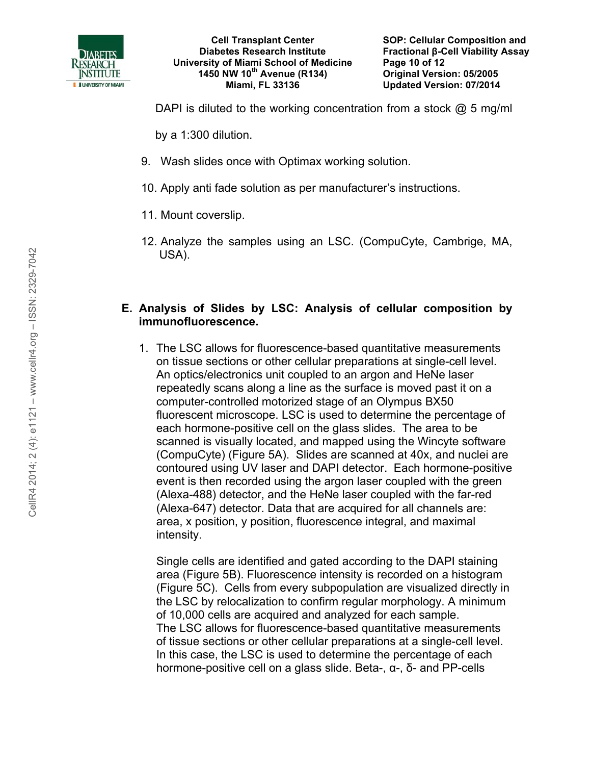

DAPI is diluted to the working concentration from a stock  $\omega$  5 mg/ml

by a 1:300 dilution.

- 9. Wash slides once with Optimax working solution.
- 10. Apply anti fade solution as per manufacturer's instructions.
- 11. Mount coverslip.
- 12. Analyze the samples using an LSC. (CompuCyte, Cambrige, MA, USA).

#### **E. Analysis of Slides by LSC: Analysis of cellular composition by immunofluorescence.**

1. The LSC allows for fluorescence-based quantitative measurements on tissue sections or other cellular preparations at single-cell level. An optics/electronics unit coupled to an argon and HeNe laser repeatedly scans along a line as the surface is moved past it on a computer-controlled motorized stage of an Olympus BX50 fluorescent microscope. LSC is used to determine the percentage of each hormone-positive cell on the glass slides. The area to be scanned is visually located, and mapped using the Wincyte software (CompuCyte) (Figure 5A). Slides are scanned at 40x, and nuclei are contoured using UV laser and DAPI detector. Each hormone-positive event is then recorded using the argon laser coupled with the green (Alexa-488) detector, and the HeNe laser coupled with the far-red (Alexa-647) detector. Data that are acquired for all channels are: area, x position, y position, fluorescence integral, and maximal intensity.

Single cells are identified and gated according to the DAPI staining area (Figure 5B). Fluorescence intensity is recorded on a histogram (Figure 5C). Cells from every subpopulation are visualized directly in the LSC by relocalization to confirm regular morphology. A minimum of 10,000 cells are acquired and analyzed for each sample. The LSC allows for fluorescence-based quantitative measurements of tissue sections or other cellular preparations at a single-cell level. In this case, the LSC is used to determine the percentage of each hormone-positive cell on a glass slide. Beta-, α-, δ- and PP-cells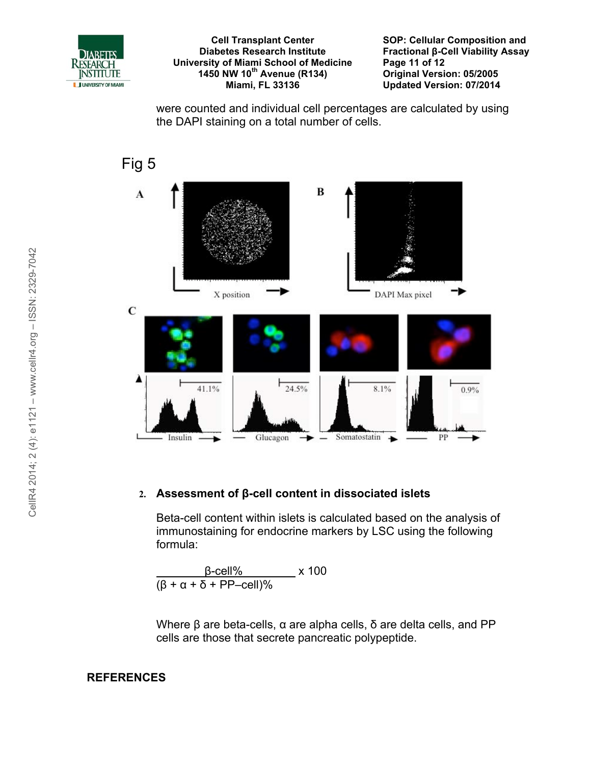

**SOP: Cellular Composition and Fractional β-Cell Viability Assay Page 11 of 12 Original Version: 05/2005 Updated Version: 07/2014**

were counted and individual cell percentages are calculated by using the DAPI staining on a total number of cells.



#### **2. Assessment of β-cell content in dissociated islets**

Beta-cell content within islets is calculated based on the analysis of immunostaining for endocrine markers by LSC using the following formula:

 β-cell% x 100  $\sqrt{(\beta + \alpha + \delta + PP - \text{cell})\%}$ 

Where β are beta-cells, α are alpha cells, δ are delta cells, and PP cells are those that secrete pancreatic polypeptide.

#### **REFERENCES**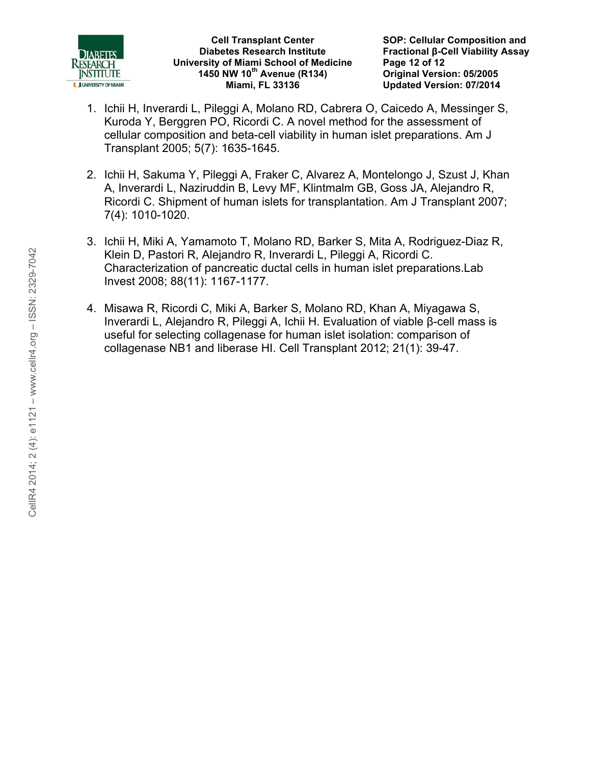

**SOP: Cellular Composition and Fractional β-Cell Viability Assay Page 12 of 12 Original Version: 05/2005 Updated Version: 07/2014**

- 1. Ichii H, Inverardi L, Pileggi A, Molano RD, Cabrera O, Caicedo A, Messinger S, Kuroda Y, Berggren PO, Ricordi C. A novel method for the assessment of cellular composition and beta-cell viability in human islet preparations. Am J Transplant 2005; 5(7): 1635-1645.
- 2. Ichii H, Sakuma Y, Pileggi A, Fraker C, Alvarez A, Montelongo J, Szust J, Khan A, Inverardi L, Naziruddin B, Levy MF, Klintmalm GB, Goss JA, Alejandro R, Ricordi C. Shipment of human islets for transplantation. Am J Transplant 2007; 7(4): 1010-1020.
- 3. Ichii H, Miki A, Yamamoto T, Molano RD, Barker S, Mita A, Rodriguez-Diaz R, Klein D, Pastori R, Alejandro R, Inverardi L, Pileggi A, Ricordi C. Characterization of pancreatic ductal cells in human islet preparations.Lab Invest 2008; 88(11): 1167-1177.
- 4. Misawa R, Ricordi C, Miki A, Barker S, Molano RD, Khan A, Miyagawa S, Inverardi L, Alejandro R, Pileggi A, Ichii H. Evaluation of viable β-cell mass is useful for selecting collagenase for human islet isolation: comparison of collagenase NB1 and liberase HI. Cell Transplant 2012; 21(1): 39-47.